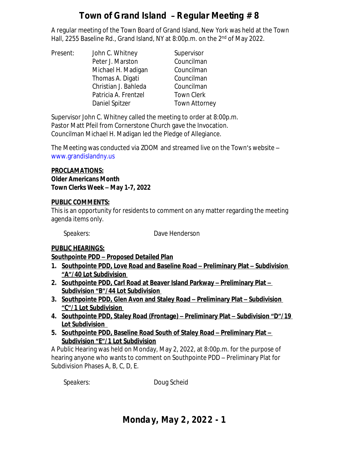A regular meeting of the Town Board of Grand Island, New York was held at the Town Hall, 2255 Baseline Rd., Grand Island, NY at 8:00p.m. on the 2<sup>nd</sup> of May 2022.

Present: John C. Whitney Supervisor Peter J. Marston Councilman Michael H. Madigan Councilman Thomas A. Digati Councilman Christian J. Bahleda Councilman Patricia A. Frentzel Town Clerk Daniel Spitzer Town Attorney

Supervisor John C. Whitney called the meeting to order at 8:00p.m. Pastor Matt Pfeil from Cornerstone Church gave the Invocation. Councilman Michael H. Madigan led the Pledge of Allegiance.

The Meeting was conducted via ZOOM and streamed live on the Town's website – [www.grandislandny.us](http://www.grandislandny.us)

#### **PROCLAMATIONS: Older Americans Month**

**Town Clerks Week – May 1-7, 2022**

## **PUBLIC COMMENTS:**

This is an opportunity for residents to comment on any matter regarding the meeting agenda items only.

Speakers: Dave Henderson

## **PUBLIC HEARINGS:**

**Southpointe PDD – Proposed Detailed Plan**

- 1. **Southpointe PDD, Love Road and Baseline Road Preliminary Plat Subdivision "A"/40 Lot Subdivision**
- **2. Southpointe PDD, Carl Road at Beaver Island Parkway – Preliminary Plat – Subdivision "B"/44 Lot Subdivision**
- **3. Southpointe PDD, Glen Avon and Staley Road – Preliminary Plat – Subdivision "C"/1 Lot Subdivision**
- **4. Southpointe PDD, Staley Road (Frontage) – Preliminary Plat – Subdivision "D"/19 Lot Subdivision**
- **5. Southpointe PDD, Baseline Road South of Staley Road – Preliminary Plat – Subdivision "E"/1 Lot Subdivision**

A Public Hearing was held on Monday, May 2, 2022, at 8:00p.m. for the purpose of hearing anyone who wants to comment on Southpointe PDD – Preliminary Plat for Subdivision Phases A, B, C, D, E.

*Speakers:* Doug Scheid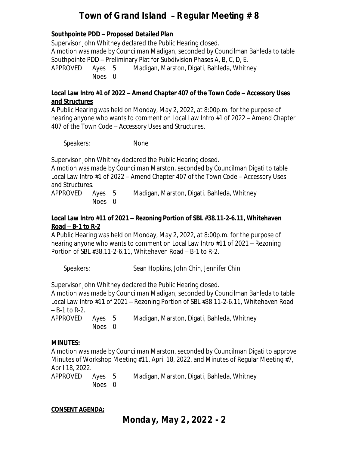#### **Southpointe PDD – Proposed Detailed Plan**

Supervisor John Whitney declared the Public Hearing closed. A motion was made by Councilman Madigan, seconded by Councilman Bahleda to table Southpointe PDD – Preliminary Plat for Subdivision Phases A, B, C, D, E. APPROVED Ayes 5 Madigan, Marston, Digati, Bahleda, Whitney Noes 0

#### **Local Law Intro #1 of 2022 – Amend Chapter 407 of the Town Code – Accessory Uses and Structures**

A Public Hearing was held on Monday, May 2, 2022, at 8:00p.m. for the purpose of hearing anyone who wants to comment on Local Law Intro #1 of 2022 – Amend Chapter 407 of the Town Code – Accessory Uses and Structures.

Speakers: None

Supervisor John Whitney declared the Public Hearing closed.

A motion was made by Councilman Marston, seconded by Councilman Digati to table Local Law Intro #1 of 2022 – Amend Chapter 407 of the Town Code – Accessory Uses and Structures.

APPROVED Ayes 5 Madigan, Marston, Digati, Bahleda, Whitney Noes 0

#### **Local Law Intro #11 of 2021 – Rezoning Portion of SBL #38.11-2-6.11, Whitehaven Road – B-1 to R-2**

A Public Hearing was held on Monday, May 2, 2022, at 8:00p.m. for the purpose of hearing anyone who wants to comment on Local Law Intro #11 of 2021 – Rezoning Portion of SBL #38.11-2-6.11, Whitehaven Road – B-1 to R-2.

*Speakers:* Sean Hopkins, John Chin, Jennifer Chin

Supervisor John Whitney declared the Public Hearing closed.

A motion was made by Councilman Madigan, seconded by Councilman Bahleda to table Local Law Intro #11 of 2021 – Rezoning Portion of SBL #38.11-2-6.11, Whitehaven Road – B-1 to R-2.

APPROVED Ayes 5 Madigan, Marston, Digati, Bahleda, Whitney Noes 0

#### **MINUTES:**

A motion was made by Councilman Marston, seconded by Councilman Digati to approve Minutes of Workshop Meeting #11, April 18, 2022, and Minutes of Regular Meeting #7, April 18, 2022.

APPROVED Ayes 5 Madigan, Marston, Digati, Bahleda, Whitney Noes 0

#### **CONSENT AGENDA:**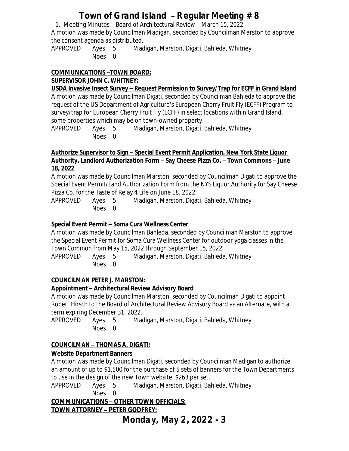1. Meeting Minutes – Board of Architectural Review – March 15, 2022 A motion was made by Councilman Madigan, seconded by Councilman Marston to approve the consent agenda as distributed.

APPROVED Ayes 5 Madigan, Marston, Digati, Bahleda, Whitney Noes 0

#### **COMMUNICATIONS –TOWN BOARD: SUPERVISOR JOHN C. WHITNEY:**

**USDA Invasive Insect Survey – Request Permission to Survey/Trap for ECFF in Grand Island** A motion was made by Councilman Digati, seconded by Councilman Bahleda to approve the request of the US Department of Agriculture's European Cherry Fruit Fly (ECFF) Program to survey/trap for European Cherry Fruit Fly (ECFF) in select locations within Grand Island, some properties which may be on town-owned property.

APPROVED Ayes 5 Madigan, Marston, Digati, Bahleda, Whitney Noes 0

#### **Authorize Supervisor to Sign – Special Event Permit Application, New York State Liquor Authority, Landlord Authorization Form – Say Cheese Pizza Co. – Town Commons – June 18, 2022**

A motion was made by Councilman Marston, seconded by Councilman Digati to approve the Special Event Permit/Land Authorization Form from the NYS Liquor Authority for Say Cheese Pizza Co. for the Taste of Relay 4 Life on June 18, 2022.

APPROVED Ayes 5 Madigan, Marston, Digati, Bahleda, Whitney Noes 0

#### **Special Event Permit – Soma Cura Wellness Center**

A motion was made by Councilman Bahleda, seconded by Councilman Marston to approve the Special Event Permit for Soma Cura Wellness Center for outdoor yoga classes in the Town Common from May 15, 2022 through September 15, 2022.

APPROVED Ayes 5 Madigan, Marston, Digati, Bahleda, Whitney Noes 0

#### **COUNCILMAN PETER J. MARSTON:**

#### **Appointment – Architectural Review Advisory Board**

A motion was made by Councilman Marston, seconded by Councilman Digati to appoint Robert Hirsch to the Board of Architectural Review Advisory Board as an Alternate, with a term expiring December 31, 2022.

APPROVED Ayes 5 Madigan, Marston, Digati, Bahleda, Whitney Noes 0

## **COUNCILMAN – THOMAS A. DIGATI:**

## **Website Department Banners**

A motion was made by Councilman Digati, seconded by Councilman Madigan to authorize an amount of up to \$1,500 for the purchase of 5 sets of banners for the Town Departments to use in the design of the new Town website, \$263 per set.

APPROVED Ayes 5 Madigan, Marston, Digati, Bahleda, Whitney Noes 0

#### **COMMUNICATIONS – OTHER TOWN OFFICIALS: TOWN ATTORNEY – PETER GODFREY:**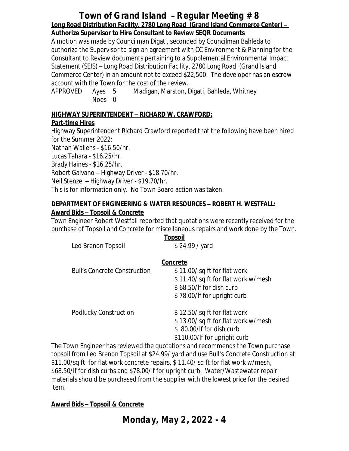## **Town of Grand Island** – **Regular Meeting # 8 Long Road Distribution Facility, 2780 Long Road (Grand Island Commerce Center) – Authorize Supervisor to Hire Consultant to Review SEQR Documents**

A motion was made by Councilman Digati, seconded by Councilman Bahleda to authorize the Supervisor to sign an agreement with CC Environment & Planning for the Consultant to Review documents pertaining to a Supplemental Environmental Impact Statement (SEIS) – Long Road Distribution Facility, 2780 Long Road (Grand Island Commerce Center) in an amount not to exceed \$22,500. The developer has an escrow account with the Town for the cost of the review.

APPROVED Ayes 5 Madigan, Marston, Digati, Bahleda, Whitney Noes 0

### **HIGHWAY SUPERINTENDENT – RICHARD W. CRAWFORD:**

## **Part-time Hires**

Highway Superintendent Richard Crawford reported that the following have been hired for the Summer 2022: Nathan Wallens - \$16.50/hr. Lucas Tahara - \$16.25/hr. Brady Haines - \$16.25/hr. Robert Galvano – Highway Driver - \$18.70/hr. Neil Stenzel – Highway Driver - \$19.70/hr. This is for information only. No Town Board action was taken.

#### **DEPARTMENT OF ENGINEERING & WATER RESOURCES – ROBERT H. WESTFALL: Award Bids – Topsoil & Concrete**

Town Engineer Robert Westfall reported that quotations were recently received for the purchase of Topsoil and Concrete for miscellaneous repairs and work done by the Town.

| Leo Brenon Topsoil                  | <u>Topsoil</u><br>\$24.99 / yard   |
|-------------------------------------|------------------------------------|
|                                     | Concrete                           |
| <b>Bull's Concrete Construction</b> | \$11.00/sq ft for flat work        |
|                                     | \$11.40/sq ft for flat work w/mesh |
|                                     | \$68.50/If for dish curb           |
|                                     | \$78.00/If for upright curb        |
| Podlucky Construction               | \$12.50/sq ft for flat work        |
|                                     | \$13.00/sq ft for flat work w/mesh |
|                                     | \$80.00/If for dish curb           |
|                                     | \$110.00/If for upright curb       |

The Town Engineer has reviewed the quotations and recommends the Town purchase topsoil from Leo Brenon Topsoil at \$24.99/ yard and use Bull's Concrete Construction at \$11.00/sq ft. for flat work concrete repairs, \$ 11.40/ sq ft for flat work w/mesh, \$68.50/lf for dish curbs and \$78.00/lf for upright curb. Water/Wastewater repair materials should be purchased from the supplier with the lowest price for the desired item.

## **Award Bids – Topsoil & Concrete**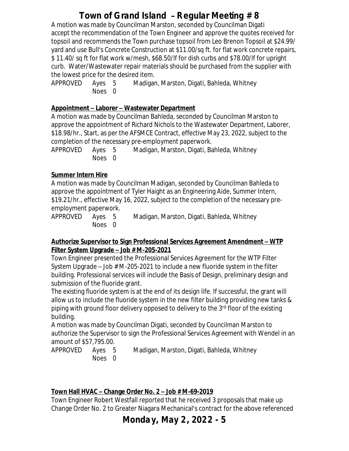A motion was made by Councilman Marston, seconded by Councilman Digati accept the recommendation of the Town Engineer and approve the quotes received for topsoil and recommends the Town purchase topsoil from Leo Brenon Topsoil at \$24.99/ yard and use Bull's Concrete Construction at \$11.00/sq ft. for flat work concrete repairs, \$ 11.40/ sq ft for flat work w/mesh, \$68.50/lf for dish curbs and \$78.00/lf for upright curb. Water/Wastewater repair materials should be purchased from the supplier with the lowest price for the desired item.

APPROVED Ayes 5 Madigan, Marston, Digati, Bahleda, Whitney Noes 0

#### **Appointment – Laborer – Wastewater Department**

A motion was made by Councilman Bahleda, seconded by Councilman Marston to approve the appointment of Richard Nichols to the Wastewater Department, Laborer, \$18.98/hr., Start, as per the AFSMCE Contract, effective May 23, 2022, subject to the completion of the necessary pre-employment paperwork.

APPROVED Ayes 5 Madigan, Marston, Digati, Bahleda, Whitney Noes 0

#### **Summer Intern Hire**

A motion was made by Councilman Madigan, seconded by Councilman Bahleda to approve the appointment of Tyler Haight as an Engineering Aide, Summer Intern, \$19.21/hr., effective May 16, 2022, subject to the completion of the necessary preemployment paperwork.

APPROVED Ayes 5 Madigan, Marston, Digati, Bahleda, Whitney Noes 0

#### **Authorize Supervisor to Sign Professional Services Agreement Amendment – WTP Filter System Upgrade – Job # M-205-2021**

Town Engineer presented the Professional Services Agreement for the WTP Filter System Upgrade  $-$  Job  $#$  M-205-2021 to include a new fluoride system in the filter building. Professional services will include the Basis of Design, preliminary design and submission of the fluoride grant.

The existing fluoride system is at the end of its design life. If successful, the grant will allow us to include the fluoride system in the new filter building providing new tanks & piping with ground floor delivery opposed to delivery to the 3<sup>rd</sup> floor of the existing building.

A motion was made by Councilman Digati, seconded by Councilman Marston to authorize the Supervisor to sign the Professional Services Agreement with Wendel in an amount of \$57,795.00.

APPROVED Ayes 5 Madigan, Marston, Digati, Bahleda, Whitney Noes 0

## **Town Hall HVAC – Change Order No. 2 – Job # M-69-2019**

Town Engineer Robert Westfall reported that he received 3 proposals that make up Change Order No. 2 to Greater Niagara Mechanical's contract for the above referenced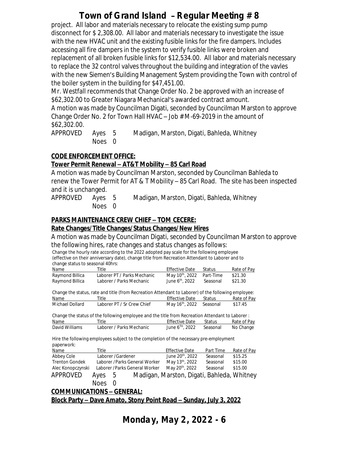project. All labor and materials necessary to relocate the existing sump pump disconnect for \$ 2,308.00. All labor and materials necessary to investigate the issue with the new HVAC unit and the existing fusible links for the fire dampers. Includes accessing all fire dampers in the system to verify fusible links were broken and replacement of all broken fusible links for \$12,534.00. All labor and materials necessary to replace the 32 control valves throughout the building and integration of the vavles with the new Siemen's Building Management System providing the Town with control of the boiler system in the building for \$47,451.00.

Mr. Westfall recommends that Change Order No. 2 be approved with an increase of \$62,302.00 to Greater Niagara Mechanical's awarded contract amount.

A motion was made by Councilman Digati, seconded by Councilman Marston to approve Change Order No. 2 for Town Hall HVAC – Job # M-69-2019 in the amount of \$62,302.00.

APPROVED Ayes 5 Madigan, Marston, Digati, Bahleda, Whitney Noes 0

#### **CODE ENFORCEMENT OFFICE:**

#### **Tower Permit Renewal – AT&T Mobility – 85 Carl Road**

A motion was made by Councilman Marston, seconded by Councilman Bahleda to renew the Tower Permit for AT & T Mobility – 85 Carl Road. The site has been inspected and it is unchanged.

APPROVED Ayes 5 Madigan, Marston, Digati, Bahleda, Whitney Noes 0

## **PARKS MAINTENANCE CREW CHIEF – TOM CECERE:**

#### **Rate Changes/Title Changes/Status Changes/New Hires**

A motion was made by Councilman Digati, seconded by Councilman Marston to approve the following hires, rate changes and status changes as follows:

Change the hourly rate according to the 2022 adopted pay scale for the following employee (effective on their anniversary date), change title from Recreation Attendant to Laborer and to change status to seasonal 40hrs:

| Name            | Γitle                       | Effective Date                        | Status   | Rate of Pay |
|-----------------|-----------------------------|---------------------------------------|----------|-------------|
| Raymond Billica | Laborer PT / Parks Mechanic | May 10 <sup>th</sup> , 2022 Part-Time |          | \$21.30     |
| Raymond Billica | Laborer / Parks Mechanic    | June 6 <sup>th</sup> , 2022           | Seasonal | \$21.30     |

| Change the status, rate and title (from Recreation Attendant to Laborer) of the following employee: |                            |                                      |          |             |  |
|-----------------------------------------------------------------------------------------------------|----------------------------|--------------------------------------|----------|-------------|--|
| Name                                                                                                | Title                      | Effective Date                       | – Status | Rate of Pay |  |
| Michael Dollard                                                                                     | Laborer PT / Sr Crew Chief | May 16 <sup>th</sup> , 2022 Seasonal |          | \$17.45     |  |

Change the status of the following employee and the title from Recreation Attendant to Laborer : Name Title Title Effective Date Status Rate of Pay<br>David Williams Laborer / Parks Mechanic June 6<sup>TH</sup>, 2022 Seasonal No Change Laborer / Parks Mechanic June  $6^{TH}$ , 2022 Seasonal June  $6^{TH}$ , 2022 No Change

Hire the following employees subject to the completion of the necessary pre-employment paperwork:

| Name                  | Title  |                    |                               | <b>Effective Date</b>                      | Part Time | Rate of Pay |
|-----------------------|--------|--------------------|-------------------------------|--------------------------------------------|-----------|-------------|
| Abbey Cole            |        | Laborer / Gardener |                               | June 20 <sup>th</sup> , 2022               | Seasonal  | \$15.25     |
| <b>Trenton Gondek</b> |        |                    | Laborer /Parks General Worker | May 13 <sup>th</sup> , 2022                | Seasonal  | \$15.00     |
| Alec Konopczynski     |        |                    | Laborer /Parks General Worker | May 20 <sup>th</sup> , 2022                | Seasonal  | \$15.00     |
| APPROVED              | Ayes 5 |                    |                               | Madigan, Marston, Digati, Bahleda, Whitney |           |             |
|                       | Noes 0 |                    |                               |                                            |           |             |

### **COMMUNICATIONS – GENERAL: Block Party – Dave Amato, Stony Point Road – Sunday, July 3, 2022**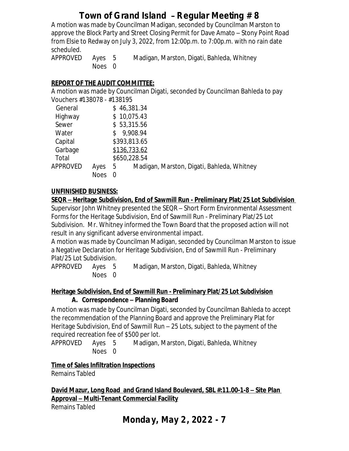A motion was made by Councilman Madigan, seconded by Councilman Marston to approve the Block Party and Street Closing Permit for Dave Amato – Stony Point Road from Elsie to Redway on July 3, 2022, from 12:00p.m. to 7:00p.m. with no rain date scheduled.

APPROVED Ayes 5 Madigan, Marston, Digati, Bahleda, Whitney Noes 0

#### **REPORT OF THE AUDIT COMMITTEE:**

A motion was made by Councilman Digati, seconded by Councilman Bahleda to pay Vouchers #138078 - #138195

| General  |             | \$46,381.34                                     |
|----------|-------------|-------------------------------------------------|
| Highway  |             | \$10,075.43                                     |
| Sewer    |             | \$53,315.56                                     |
| Water    |             | 9,908.94                                        |
| Capital  |             | \$393,813.65                                    |
| Garbage  |             | \$136,733.62                                    |
| Total    |             | \$650,228.54                                    |
| APPROVED | Ayes        | Madigan, Marston, Digati, Bahleda, Whitney<br>5 |
|          | <b>Noes</b> |                                                 |
|          |             |                                                 |

#### **UNFINISHED BUSINESS:**

#### **SEQR – Heritage Subdivision, End of Sawmill Run - Preliminary Plat/25 Lot Subdivision**

Supervisor John Whitney presented the SEQR – Short Form Environmental Assessment Forms for the Heritage Subdivision, End of Sawmill Run - Preliminary Plat/25 Lot Subdivision. Mr. Whitney informed the Town Board that the proposed action will not result in any significant adverse environmental impact.

A motion was made by Councilman Madigan, seconded by Councilman Marston to issue a Negative Declaration for Heritage Subdivision, End of Sawmill Run - Preliminary Plat/25 Lot Subdivision.

APPROVED Ayes 5 Madigan, Marston, Digati, Bahleda, Whitney Noes 0

#### **Heritage Subdivision, End of Sawmill Run - Preliminary Plat/25 Lot Subdivision A. Correspondence – Planning Board**

A motion was made by Councilman Digati, seconded by Councilman Bahleda to accept the recommendation of the Planning Board and approve the Preliminary Plat for Heritage Subdivision, End of Sawmill Run – 25 Lots, subject to the payment of the required recreation fee of \$500 per lot.

APPROVED Ayes 5 Madigan, Marston, Digati, Bahleda, Whitney Noes 0

#### **Time of Sales Infiltration Inspections**

Remains Tabled

**David Mazur, Long Road and Grand Island Boulevard, SBL #:11.00-1-8 – Site Plan Approval – Multi-Tenant Commercial Facility** Remains Tabled